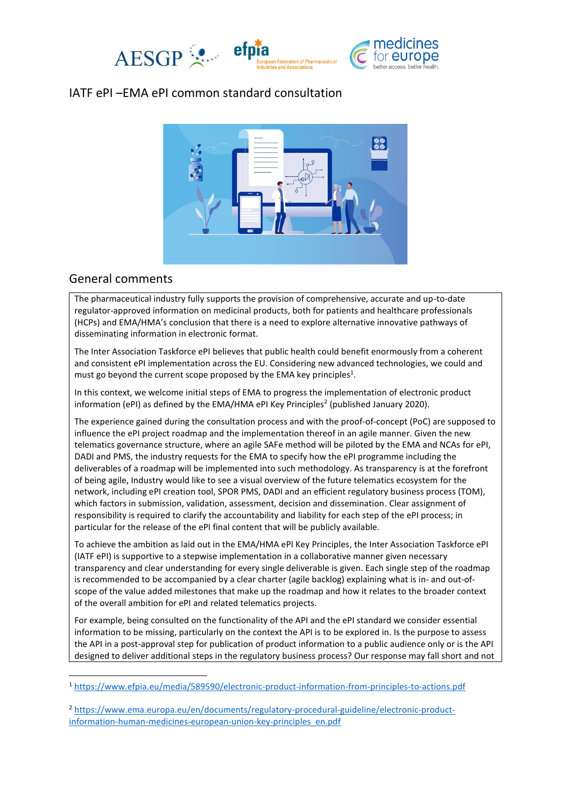

## IATF ePI –EMA ePI common standard consultation



## General comments

The pharmaceutical industry fully supports the provision of comprehensive, accurate and up-to-date regulator-approved information on medicinal products, both for patients and healthcare professionals (HCPs) and EMA/HMA's conclusion that there is a need to explore alternative innovative pathways of disseminating information in electronic format.

The Inter Association Taskforce ePI believes that public health could benefit enormously from a coherent and consistent ePI implementation across the EU. Considering new advanced technologies, we could and must go beyond the current scope proposed by the EMA key principles<sup>1</sup>.

<span id="page-0-0"></span>In this context, we welcome initial steps of EMA to progress the implementation of electronic product information (ePI) as defined by the EMA/HMA ePI Key Principles<sup>2</sup> (published January 2020).

The experience gained during the consultation process and with the proof-of-concept (PoC) are supposed to influence the ePI project roadmap and the implementation thereof in an agile manner. Given the new telematics governance structure, where an agile SAFe method will be piloted by the EMA and NCAs for ePI, DADI and PMS, the industry requests for the EMA to specify how the ePI programme including the deliverables of a roadmap will be implemented into such methodology. As transparency is at the forefront of being agile, Industry would like to see a visual overview of the future telematics ecosystem for the network, including ePI creation tool, SPOR PMS, DADI and an efficient regulatory business process (TOM), which factors in submission, validation, assessment, decision and dissemination. Clear assignment of responsibility is required to clarify the accountability and liability for each step of the ePI process; in particular for the release of the ePI final content that will be publicly available.

To achieve the ambition as laid out in the EMA/HMA ePI Key Principles, the Inter Association Taskforce ePI (IATF ePI) is supportive to a stepwise implementation in a collaborative manner given necessary transparency and clear understanding for every single deliverable is given. Each single step of the roadmap is recommended to be accompanied by a clear charter (agile backlog) explaining what is in- and out-ofscope of the value added milestones that make up the roadmap and how it relates to the broader context of the overall ambition for ePI and related telematics projects.

For example, being consulted on the functionality of the API and the ePI standard we consider essential information to be missing, particularly on the context the API is to be explored in. Is the purpose to assess the API in a post-approval step for publication of product information to a public audience only or is the API designed to deliver additional steps in the regulatory business process? Our response may fall short and not

<sup>1</sup> <https://www.efpia.eu/media/589590/electronic-product-information-from-principles-to-actions.pdf>

<sup>2</sup> [https://www.ema.europa.eu/en/documents/regulatory-procedural-guideline/electronic-product](https://www.ema.europa.eu/en/documents/regulatory-procedural-guideline/electronic-product-information-human-medicines-european-union-key-principles_en.pdf)[information-human-medicines-european-union-key-principles\\_en.pdf](https://www.ema.europa.eu/en/documents/regulatory-procedural-guideline/electronic-product-information-human-medicines-european-union-key-principles_en.pdf)